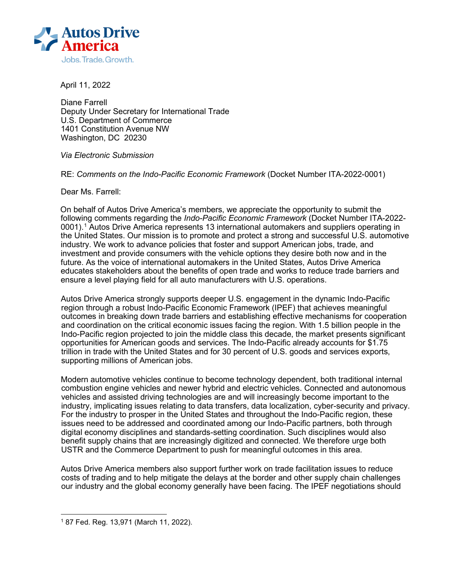

April 11, 2022

Diane Farrell Deputy Under Secretary for International Trade U.S. Department of Commerce 1401 Constitution Avenue NW Washington, DC 20230

*Via Electronic Submission* 

RE: *Comments on the Indo-Pacific Economic Framework* (Docket Number ITA-2022-0001)

Dear Ms. Farrell:

On behalf of Autos Drive America's members, we appreciate the opportunity to submit the following comments regarding the *Indo-Pacific Economic Framework* (Docket Number ITA-2022- 0001). [1](#page-0-0) Autos Drive America represents 13 international automakers and suppliers operating in the United States. Our mission is to promote and protect a strong and successful U.S. automotive industry. We work to advance policies that foster and support American jobs, trade, and investment and provide consumers with the vehicle options they desire both now and in the future. As the voice of international automakers in the United States, Autos Drive America educates stakeholders about the benefits of open trade and works to reduce trade barriers and ensure a level playing field for all auto manufacturers with U.S. operations.

Autos Drive America strongly supports deeper U.S. engagement in the dynamic Indo-Pacific region through a robust Indo-Pacific Economic Framework (IPEF) that achieves meaningful outcomes in breaking down trade barriers and establishing effective mechanisms for cooperation and coordination on the critical economic issues facing the region. With 1.5 billion people in the Indo-Pacific region projected to join the middle class this decade, the market presents significant opportunities for American goods and services. The Indo-Pacific already accounts for \$1.75 trillion in trade with the United States and for 30 percent of U.S. goods and services exports, supporting millions of American jobs.

Modern automotive vehicles continue to become technology dependent, both traditional internal combustion engine vehicles and newer hybrid and electric vehicles. Connected and autonomous vehicles and assisted driving technologies are and will increasingly become important to the industry, implicating issues relating to data transfers, data localization, cyber-security and privacy. For the industry to prosper in the United States and throughout the Indo-Pacific region, these issues need to be addressed and coordinated among our Indo-Pacific partners, both through digital economy disciplines and standards-setting coordination. Such disciplines would also benefit supply chains that are increasingly digitized and connected. We therefore urge both USTR and the Commerce Department to push for meaningful outcomes in this area.

Autos Drive America members also support further work on trade facilitation issues to reduce costs of trading and to help mitigate the delays at the border and other supply chain challenges our industry and the global economy generally have been facing. The IPEF negotiations should

<span id="page-0-0"></span><sup>1</sup> 87 Fed. Reg. 13,971 (March 11, 2022).